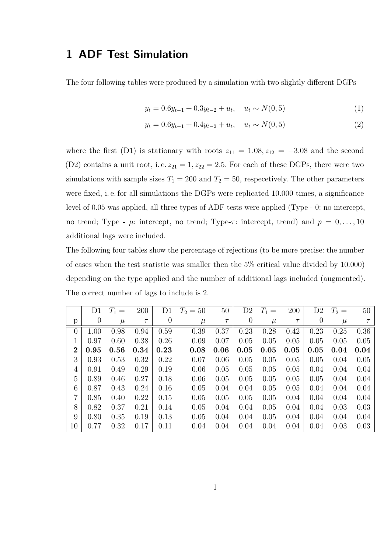## **1 ADF Test Simulation**

The four following tables were produced by a simulation with two slightly different DGPs

$$
y_t = 0.6y_{t-1} + 0.3y_{t-2} + u_t, \quad u_t \sim N(0, 5)
$$
 (1)

$$
y_t = 0.6y_{t-1} + 0.4y_{t-2} + u_t, \quad u_t \sim N(0, 5)
$$
\n
$$
(2)
$$

where the first (D1) is stationary with roots  $z_{11} = 1.08, z_{12} = -3.08$  and the second (D2) contains a unit root, i.e.  $z_{21} = 1, z_{22} = 2.5$ . For each of these DGPs, there were two simulations with sample sizes  $T_1 = 200$  and  $T_2 = 50$ , respectively. The other parameters were fixed, i. e. for all simulations the DGPs were replicated 10.000 times, a significance level of 0.05 was applied, all three types of ADF tests were applied (Type - 0: no intercept, no trend; Type -  $\mu$ : intercept, no trend; Type- $\tau$ : intercept, trend) and  $p = 0, \ldots, 10$ additional lags were included.

The following four tables show the percentage of rejections (to be more precise: the number of cases when the test statistic was smaller then the 5% critical value divided by 10.000) depending on the type applied and the number of additional lags included (augmented). The correct number of lags to include is 2.

|                | D1       | $T_1 =$ | 200    | D <sub>1</sub> | $T_2 = 50$ | 50     | D2       | $T_1 =$ | 200    | D <sub>2</sub> | $T_2=$ | 50     |
|----------------|----------|---------|--------|----------------|------------|--------|----------|---------|--------|----------------|--------|--------|
| р              | $\theta$ | $\mu$   | $\tau$ | $\theta$       | $\mu$      | $\tau$ | $\theta$ | $\mu$   | $\tau$ | $\overline{0}$ | $\mu$  | $\tau$ |
| $\overline{0}$ | 1.00     | 0.98    | 0.94   | 0.59           | 0.39       | 0.37   | 0.23     | 0.28    | 0.42   | 0.23           | 0.25   | 0.36   |
| 1              | 0.97     | 0.60    | 0.38   | 0.26           | 0.09       | 0.07   | 0.05     | 0.05    | 0.05   | 0.05           | 0.05   | 0.05   |
| $\overline{2}$ | 0.95     | 0.56    | 0.34   | 0.23           | 0.08       | 0.06   | 0.05     | 0.05    | 0.05   | 0.05           | 0.04   | 0.04   |
| 3              | 0.93     | 0.53    | 0.32   | 0.22           | 0.07       | 0.06   | 0.05     | 0.05    | 0.05   | 0.05           | 0.04   | 0.05   |
| $\overline{4}$ | 0.91     | 0.49    | 0.29   | 0.19           | 0.06       | 0.05   | 0.05     | 0.05    | 0.05   | 0.04           | 0.04   | 0.04   |
| 5              | 0.89     | 0.46    | 0.27   | 0.18           | 0.06       | 0.05   | 0.05     | 0.05    | 0.05   | 0.05           | 0.04   | 0.04   |
| 6              | 0.87     | 0.43    | 0.24   | 0.16           | 0.05       | 0.04   | 0.04     | 0.05    | 0.05   | 0.04           | 0.04   | 0.04   |
| $\overline{7}$ | 0.85     | 0.40    | 0.22   | 0.15           | 0.05       | 0.05   | 0.05     | 0.05    | 0.04   | 0.04           | 0.04   | 0.04   |
| 8              | 0.82     | 0.37    | 0.21   | 0.14           | 0.05       | 0.04   | 0.04     | 0.05    | 0.04   | 0.04           | 0.03   | 0.03   |
| 9              | 0.80     | 0.35    | 0.19   | 0.13           | 0.05       | 0.04   | 0.04     | 0.05    | 0.04   | 0.04           | 0.04   | 0.04   |
| 10             | 0.77     | 0.32    | 0.17   | 0.11           | 0.04       | 0.04   | 0.04     | 0.04    | 0.04   | 0.04           | 0.03   | 0.03   |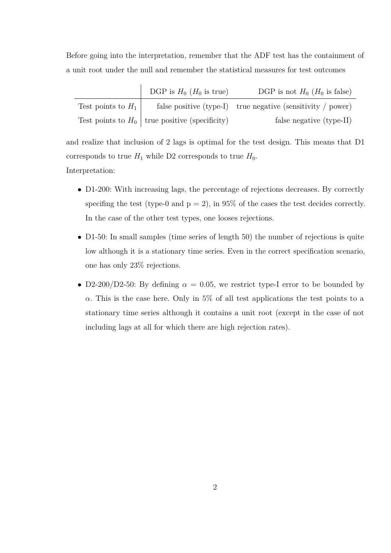Before going into the interpretation, remember that the ADF test has the containment of a unit root under the null and remember the statistical measures for test outcomes

|                      | DGP is $H_0$ ( $H_0$ is true)                    | DGP is not $H_0$ ( $H_0$ is false)                            |
|----------------------|--------------------------------------------------|---------------------------------------------------------------|
| Test points to $H_1$ |                                                  | false positive $(type-I)$ true negative (sensitivity / power) |
|                      | Test points to $H_0$ true positive (specificity) | false negative (type-II)                                      |

and realize that inclusion of 2 lags is optimal for the test design. This means that D1 corresponds to true  $H_1$  while D2 corresponds to true  $H_0$ . Interpretation:

- D1-200: With increasing lags, the percentage of rejections decreases. By correctly specifing the test (type-0 and  $p = 2$ ), in 95% of the cases the test decides correctly. In the case of the other test types, one looses rejections.
- D1-50: In small samples (time series of length 50) the number of rejections is quite low although it is a stationary time series. Even in the correct specification scenario, one has only 23% rejections.
- D2-200/D2-50: By defining  $\alpha = 0.05$ , we restrict type-I error to be bounded by *α*. This is the case here. Only in 5% of all test applications the test points to a stationary time series although it contains a unit root (except in the case of not including lags at all for which there are high rejection rates).